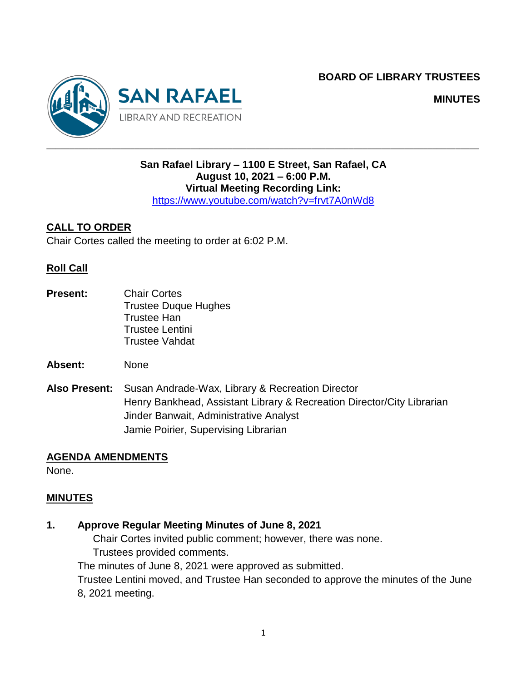**BOARD OF LIBRARY TRUSTEES**



**MINUTES**

## **San Rafael Library – 1100 E Street, San Rafael, CA August 10, 2021 – 6:00 P.M. Virtual Meeting Recording Link:**

<https://www.youtube.com/watch?v=frvt7A0nWd8>

## **CALL TO ORDER**

Chair Cortes called the meeting to order at 6:02 P.M.

#### **Roll Call**

- **Present:** Chair Cortes Trustee Duque Hughes Trustee Han Trustee Lentini Trustee Vahdat
- **Absent:** None
- **Also Present:** Susan Andrade-Wax, Library & Recreation Director Henry Bankhead, Assistant Library & Recreation Director/City Librarian Jinder Banwait, Administrative Analyst Jamie Poirier, Supervising Librarian

#### **AGENDA AMENDMENTS**

None.

#### **MINUTES**

- **1. Approve Regular Meeting Minutes of June 8, 2021**
	- Chair Cortes invited public comment; however, there was none.

Trustees provided comments.

The minutes of June 8, 2021 were approved as submitted.

Trustee Lentini moved, and Trustee Han seconded to approve the minutes of the June 8, 2021 meeting.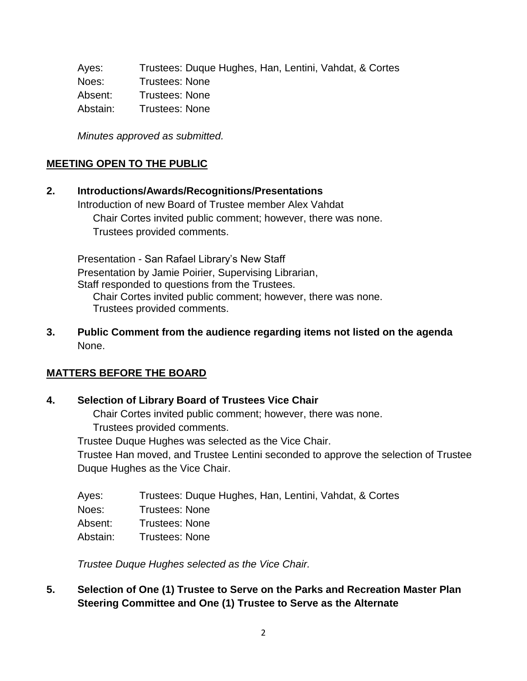Ayes: Trustees: Duque Hughes, Han, Lentini, Vahdat, & Cortes Noes: Trustees: None Absent: Trustees: None Abstain: Trustees: None

*Minutes approved as submitted.*

### **MEETING OPEN TO THE PUBLIC**

# **2. Introductions/Awards/Recognitions/Presentations** Introduction of new Board of Trustee member Alex Vahdat Chair Cortes invited public comment; however, there was none.

Trustees provided comments.

Presentation - San Rafael Library's New Staff Presentation by Jamie Poirier, Supervising Librarian, Staff responded to questions from the Trustees. Chair Cortes invited public comment; however, there was none.

Trustees provided comments.

**3. Public Comment from the audience regarding items not listed on the agenda** None.

#### **MATTERS BEFORE THE BOARD**

#### **4. Selection of Library Board of Trustees Vice Chair**

Chair Cortes invited public comment; however, there was none.

Trustees provided comments.

Trustee Duque Hughes was selected as the Vice Chair.

Trustee Han moved, and Trustee Lentini seconded to approve the selection of Trustee Duque Hughes as the Vice Chair.

| Ayes:    | Trustees: Duque Hughes, Han, Lentini, Vahdat, & Cortes |
|----------|--------------------------------------------------------|
| Noes:    | <b>Trustees: None</b>                                  |
| Absent:  | <b>Trustees: None</b>                                  |
| Abstain: | Trustees: None                                         |

*Trustee Duque Hughes selected as the Vice Chair.*

## **5. Selection of One (1) Trustee to Serve on the Parks and Recreation Master Plan Steering Committee and One (1) Trustee to Serve as the Alternate**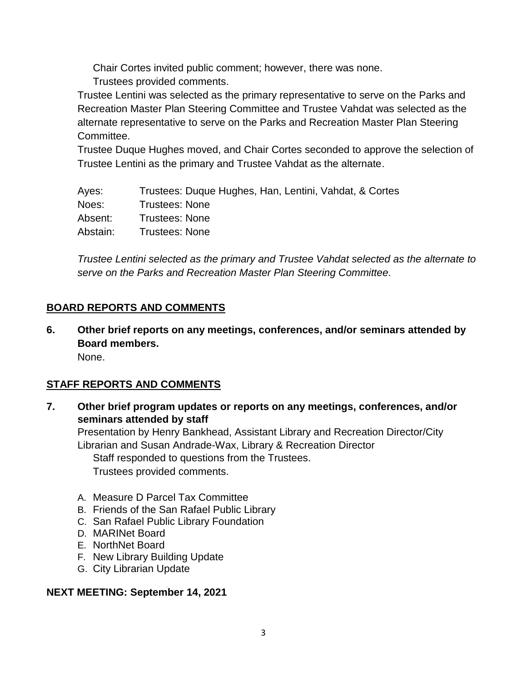Chair Cortes invited public comment; however, there was none.

Trustees provided comments.

Trustee Lentini was selected as the primary representative to serve on the Parks and Recreation Master Plan Steering Committee and Trustee Vahdat was selected as the alternate representative to serve on the Parks and Recreation Master Plan Steering Committee.

Trustee Duque Hughes moved, and Chair Cortes seconded to approve the selection of Trustee Lentini as the primary and Trustee Vahdat as the alternate.

| Ayes:    | Trustees: Duque Hughes, Han, Lentini, Vahdat, & Cortes |
|----------|--------------------------------------------------------|
| Noes:    | Trustees: None                                         |
| Absent:  | <b>Trustees: None</b>                                  |
| Abstain: | <b>Trustees: None</b>                                  |

*Trustee Lentini selected as the primary and Trustee Vahdat selected as the alternate to serve on the Parks and Recreation Master Plan Steering Committee.*

# **BOARD REPORTS AND COMMENTS**

**6. Other brief reports on any meetings, conferences, and/or seminars attended by Board members.**

# None.

# **STAFF REPORTS AND COMMENTS**

**7. Other brief program updates or reports on any meetings, conferences, and/or seminars attended by staff**

Presentation by Henry Bankhead, Assistant Library and Recreation Director/City Librarian and Susan Andrade-Wax, Library & Recreation Director Staff responded to questions from the Trustees. Trustees provided comments.

- A. Measure D Parcel Tax Committee
- B. Friends of the San Rafael Public Library
- C. San Rafael Public Library Foundation
- D. MARINet Board
- E. NorthNet Board
- F. New Library Building Update
- G. City Librarian Update

#### **NEXT MEETING: September 14, 2021**